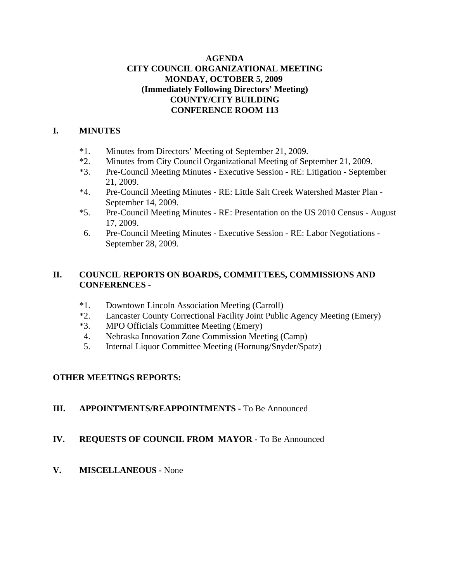### **AGENDA CITY COUNCIL ORGANIZATIONAL MEETING MONDAY, OCTOBER 5, 2009 (Immediately Following Directors' Meeting) COUNTY/CITY BUILDING CONFERENCE ROOM 113**

### **I. MINUTES**

- \*1. Minutes from Directors' Meeting of September 21, 2009.
- \*2. Minutes from City Council Organizational Meeting of September 21, 2009.
- \*3. Pre-Council Meeting Minutes Executive Session RE: Litigation September 21, 2009.
- \*4. Pre-Council Meeting Minutes RE: Little Salt Creek Watershed Master Plan September 14, 2009.
- \*5. Pre-Council Meeting Minutes RE: Presentation on the US 2010 Census August 17, 2009.
- 6. Pre-Council Meeting Minutes Executive Session RE: Labor Negotiations September 28, 2009.

### **II. COUNCIL REPORTS ON BOARDS, COMMITTEES, COMMISSIONS AND CONFERENCES** -

- \*1. Downtown Lincoln Association Meeting (Carroll)
- \*2. Lancaster County Correctional Facility Joint Public Agency Meeting (Emery)
- \*3. MPO Officials Committee Meeting (Emery)
- 4. Nebraska Innovation Zone Commission Meeting (Camp)
- 5. Internal Liquor Committee Meeting (Hornung/Snyder/Spatz)

### **OTHER MEETINGS REPORTS:**

### **III. APPOINTMENTS/REAPPOINTMENTS -** To Be Announced

### **IV. REQUESTS OF COUNCIL FROM MAYOR -** To Be Announced

**V. MISCELLANEOUS -** None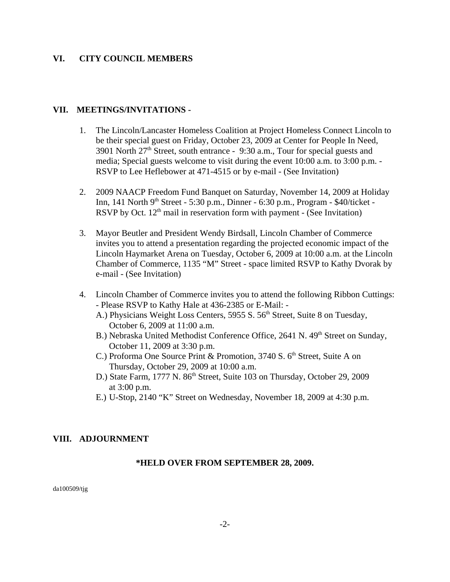#### **VI. CITY COUNCIL MEMBERS**

#### **VII. MEETINGS/INVITATIONS -**

- 1. The Lincoln/Lancaster Homeless Coalition at Project Homeless Connect Lincoln to be their special guest on Friday, October 23, 2009 at Center for People In Need, 3901 North  $27<sup>th</sup>$  Street, south entrance - 9:30 a.m., Tour for special guests and media; Special guests welcome to visit during the event 10:00 a.m. to 3:00 p.m. - RSVP to Lee Heflebower at 471-4515 or by e-mail - (See Invitation)
- 2. 2009 NAACP Freedom Fund Banquet on Saturday, November 14, 2009 at Holiday Inn, 141 North 9<sup>th</sup> Street - 5:30 p.m., Dinner - 6:30 p.m., Program - \$40/ticket -RSVP by Oct.  $12<sup>th</sup>$  mail in reservation form with payment - (See Invitation)
- 3. Mayor Beutler and President Wendy Birdsall, Lincoln Chamber of Commerce invites you to attend a presentation regarding the projected economic impact of the Lincoln Haymarket Arena on Tuesday, October 6, 2009 at 10:00 a.m. at the Lincoln Chamber of Commerce, 1135 "M" Street - space limited RSVP to Kathy Dvorak by e-mail - (See Invitation)
- 4. Lincoln Chamber of Commerce invites you to attend the following Ribbon Cuttings: - Please RSVP to Kathy Hale at 436-2385 or E-Mail: -
	- A.) Physicians Weight Loss Centers, 5955 S. 56<sup>th</sup> Street, Suite 8 on Tuesday, October 6, 2009 at 11:00 a.m.
	- B.) Nebraska United Methodist Conference Office, 2641 N. 49<sup>th</sup> Street on Sunday. October 11, 2009 at 3:30 p.m.
	- C.) Proforma One Source Print & Promotion,  $3740$  S,  $6<sup>th</sup>$  Street, Suite A on Thursday, October 29, 2009 at 10:00 a.m.
	- D.) State Farm, 1777 N. 86<sup>th</sup> Street, Suite 103 on Thursday, October 29, 2009 at 3:00 p.m.
	- E.) U-Stop, 2140 "K" Street on Wednesday, November 18, 2009 at 4:30 p.m.

### **VIII. ADJOURNMENT**

#### **\*HELD OVER FROM SEPTEMBER 28, 2009.**

da100509/tjg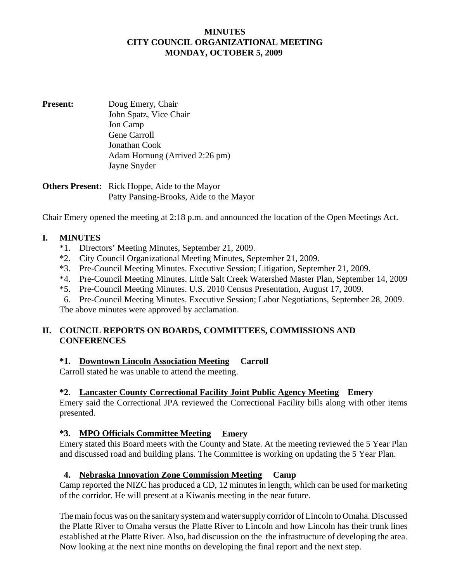#### **MINUTES CITY COUNCIL ORGANIZATIONAL MEETING MONDAY, OCTOBER 5, 2009**

**Present:** Doug Emery, Chair John Spatz, Vice Chair Jon Camp Gene Carroll Jonathan Cook Adam Hornung (Arrived 2:26 pm) Jayne Snyder

**Others Present:** Rick Hoppe, Aide to the Mayor Patty Pansing-Brooks, Aide to the Mayor

Chair Emery opened the meeting at 2:18 p.m. and announced the location of the Open Meetings Act.

### **I. MINUTES**

- \*1. Directors' Meeting Minutes, September 21, 2009.
- \*2. City Council Organizational Meeting Minutes, September 21, 2009.
- \*3. Pre-Council Meeting Minutes. Executive Session; Litigation, September 21, 2009.
- \*4. Pre-Council Meeting Minutes. Little Salt Creek Watershed Master Plan, September 14, 2009
- \*5. Pre-Council Meeting Minutes. U.S. 2010 Census Presentation, August 17, 2009.
- 6. Pre-Council Meeting Minutes. Executive Session; Labor Negotiations, September 28, 2009.

The above minutes were approved by acclamation.

### **II. COUNCIL REPORTS ON BOARDS, COMMITTEES, COMMISSIONS AND CONFERENCES**

### **\*1. Downtown Lincoln Association Meeting Carroll**

Carroll stated he was unable to attend the meeting.

### **\*2**. **Lancaster County Correctional Facility Joint Public Agency Meeting Emery**

Emery said the Correctional JPA reviewed the Correctional Facility bills along with other items presented.

#### **\*3. MPO Officials Committee Meeting Emery**

Emery stated this Board meets with the County and State. At the meeting reviewed the 5 Year Plan and discussed road and building plans. The Committee is working on updating the 5 Year Plan.

#### **4. Nebraska Innovation Zone Commission Meeting Camp**

Camp reported the NIZC has produced a CD, 12 minutes in length, which can be used for marketing of the corridor. He will present at a Kiwanis meeting in the near future.

The main focus was on the sanitary system and water supply corridor of Lincoln to Omaha. Discussed the Platte River to Omaha versus the Platte River to Lincoln and how Lincoln has their trunk lines established at the Platte River. Also, had discussion on the the infrastructure of developing the area. Now looking at the next nine months on developing the final report and the next step.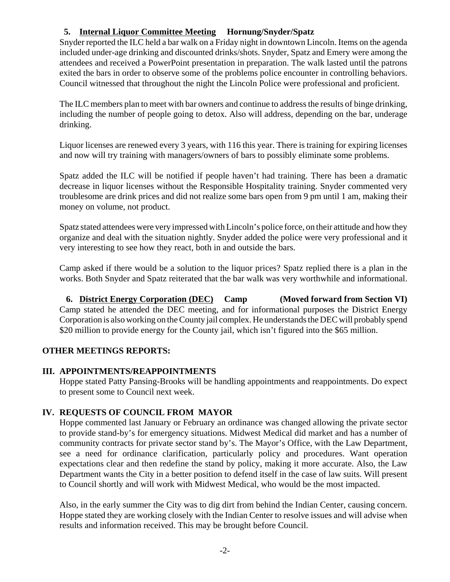# **5. Internal Liquor Committee Meeting Hornung/Snyder/Spatz**

Snyder reported the ILC held a bar walk on a Friday night in downtown Lincoln. Items on the agenda included under-age drinking and discounted drinks/shots. Snyder, Spatz and Emery were among the attendees and received a PowerPoint presentation in preparation. The walk lasted until the patrons exited the bars in order to observe some of the problems police encounter in controlling behaviors. Council witnessed that throughout the night the Lincoln Police were professional and proficient.

The ILC members plan to meet with bar owners and continue to address the results of binge drinking, including the number of people going to detox. Also will address, depending on the bar, underage drinking.

Liquor licenses are renewed every 3 years, with 116 this year. There is training for expiring licenses and now will try training with managers/owners of bars to possibly eliminate some problems.

Spatz added the ILC will be notified if people haven't had training. There has been a dramatic decrease in liquor licenses without the Responsible Hospitality training. Snyder commented very troublesome are drink prices and did not realize some bars open from 9 pm until 1 am, making their money on volume, not product.

Spatz stated attendees were very impressed with Lincoln's police force, on their attitude and how they organize and deal with the situation nightly. Snyder added the police were very professional and it very interesting to see how they react, both in and outside the bars.

Camp asked if there would be a solution to the liquor prices? Spatz replied there is a plan in the works. Both Snyder and Spatz reiterated that the bar walk was very worthwhile and informational.

 **6. District Energy Corporation (DEC) Camp (Moved forward from Section VI)** Camp stated he attended the DEC meeting, and for informational purposes the District Energy Corporation is also working on the County jail complex. He understands the DEC will probably spend \$20 million to provide energy for the County jail, which isn't figured into the \$65 million.

### **OTHER MEETINGS REPORTS:**

### **III. APPOINTMENTS/REAPPOINTMENTS**

Hoppe stated Patty Pansing-Brooks will be handling appointments and reappointments. Do expect to present some to Council next week.

# **IV. REQUESTS OF COUNCIL FROM MAYOR**

Hoppe commented last January or February an ordinance was changed allowing the private sector to provide stand-by's for emergency situations. Midwest Medical did market and has a number of community contracts for private sector stand by's. The Mayor's Office, with the Law Department, see a need for ordinance clarification, particularly policy and procedures. Want operation expectations clear and then redefine the stand by policy, making it more accurate. Also, the Law Department wants the City in a better position to defend itself in the case of law suits. Will present to Council shortly and will work with Midwest Medical, who would be the most impacted.

Also, in the early summer the City was to dig dirt from behind the Indian Center, causing concern. Hoppe stated they are working closely with the Indian Center to resolve issues and will advise when results and information received. This may be brought before Council.